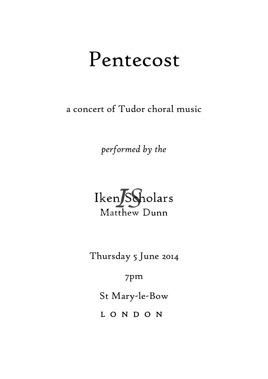# Pentecost

a concert of Tudor choral music

*performed by the*



Thursday 5 June 2014

7pm

St Mary-le-Bow

L O N D O N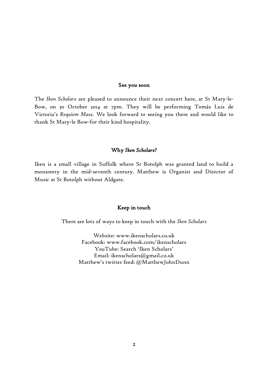#### See you soon

The *Iken Scholars* are pleased to announce their next concert here, at St Mary-le-Bow, on 30 October 2014 at 7pm. They will be performing Tomás Luis de Victoria's *Requiem Mass*. We look forward to seeing you there and would like to thank St Mary-le Bow-for their kind hospitality.

# Why *Iken Scholars*?

Iken is a small village in Suffolk where St Botolph was granted land to build a monastery in the mid-seventh century. Matthew is Organist and Director of Music at St Botolph without Aldgate.

### Keep in touch

There are lots of ways to keep in touch with the *Iken Scholars*

Website: www.ikenscholars.co.uk Facebook: www.facebook.com/ikenscholars YouTube: Search 'Iken Scholars' Email: ikenscholars@gmail.co.uk Matthew's twitter feed: @MatthewJohnDunn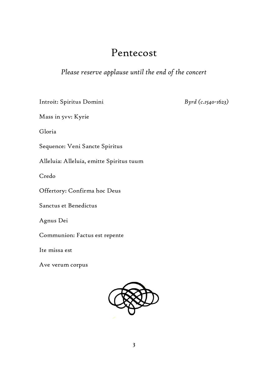# Pentecost

*Please reserve applause until the end of the concert* 

Introit: Spiritus Domini

*Byrd (c.1540-1623)*

Mass in 5vv: Kyrie

Gloria

Sequence: Veni Sancte Spiritus

Alleluia: Alleluia, emitte Spiritus tuum

Credo

Offertory: Confirma hoc Deus

Sanctus et Benedictus

Agnus Dei

Communion: Factus est repente

Ite missa est

Ave verum corpus

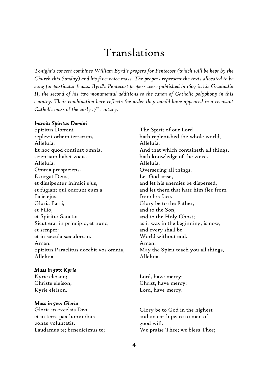# Translations

*Tonight's concert combines William Byrd's propers for Pentecost (which will be kept by the Church this Sunday) and his five-voice mass. The propers represent the texts allocated to be sung for particular feasts. Byrd's Pentecost propers were published in 1607 in his Gradualia II, the second of his two monumental additions to the canon of Catholic polyphony in this country. Their combination here reflects the order they would have appeared in a recusant Catholic mass of the early 17th century.*

#### *Introit: Spiritus Domini*

Spiritus Domini replevit orbem terrarum, Alleluia. Et hoc quod continet omnia, scientiam habet vocis. Alleluia. Omnia prospiciens. Exurgat Deus, et dissipentur inimici ejus, et fugiant qui oderunt eum a facie ejus. Gloria Patri, et Filio, et Spiritui Sancto: Sicut erat in principio, et nunc, et semper: et in sæcula sæculorum. Amen. Spiritus Paraclitus docebit vos omnia, Alleluia.

#### *Mass in 5vv: Kyrie*

Kyrie eleison; Christe eleison; Kyrie eleison.

#### *Mass in 5vv: Gloria*

Gloria in excelsis Deo et in terra pax hominibus bonae voluntatis. Laudamus te; benedicimus te; The Spirit of our Lord hath replenished the whole world, Alleluia. And that which containeth all things, hath knowledge of the voice. Alleluia. Overseeing all things. Let God arise, and let his enemies be dispersed, and let them that hate him flee from from his face. Glory be to the Father, and to the Son, and to the Holy Ghost; as it was in the beginning, is now, and every shall be: World without end. Amen. May the Spirit teach you all things, Alleluia.

Lord, have mercy; Christ, have mercy; Lord, have mercy.

Glory be to God in the highest and on earth peace to men of good will. We praise Thee; we bless Thee;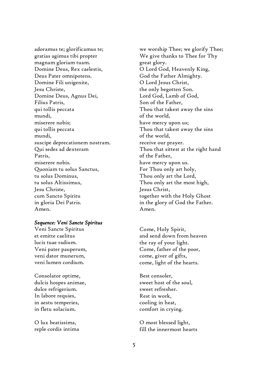adoramus te; glorificamus te; gratias agimus tibi propter magnam gloriam tuam. Domine Deus, Rex caelestis, Deus Pater omnipotens. Domine Fili unigenite, Jesu Christe, Domine Deus, Agnus Dei, Filius Patris, qui tollis peccata mundi, miserere nobis; qui tollis peccata mundi, suscipe deprecationem nostram. Qui sedes ad dexteram Patris, miserere nobis. Quoniam tu solus Sanctus, tu solus Dominus, tu solus Altissimus, Jesu Christe, cum Sancto Spiritu in gloria Dei Patris. Amen.

# *Sequence: Veni Sancte Spiritus*

Veni Sancte Spiritus et emitte caelitus lucis tuae radium. Veni pater pauperum, veni dator munerum, veni lumen cordium.

Consolator optime, dulcis hospes animae, dulce refrigerium. In labore requies, in aestu temperies, in fletu solacium.

O lux beatissima, reple cordis intima we worship Thee; we glorify Thee; We give thanks to Thee for Thy great glory. O Lord God, Heavenly King, God the Father Almighty. O Lord Jesus Christ, the only begotten Son. Lord God, Lamb of God, Son of the Father, Thou that takest away the sins of the world, have mercy upon us; Thou that takest away the sins of the world, receive our prayer. Thou that sittest at the right hand of the Father, have mercy upon us. For Thou only art holy, Thou only art the Lord, Thou only art the most high, Jesus Christ, together with the Holy Ghost in the glory of God the Father. Amen.

Come, Holy Spirit, and send down from heaven the ray of your light. Come, father of the poor, come, giver of gifts, come, light of the hearts.

Best consoler, sweet host of the soul, sweet refresher. Rest in work, cooling in heat, comfort in crying.

O most blessed light, fill the innermost hearts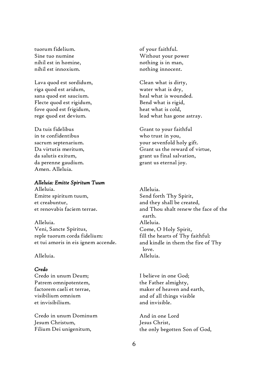tuorum fidelium. Sine tuo numine nihil est in homine, nihil est innoxium.

Lava quod est sordidum, riga quod est aridum, sana quod est saucium. Flecte quod est rigidum, fove quod est frigidum, rege quod est devium.

Da tuis fidelibus in te confidentibus sacrum septenarium. Da virtutis meritum, da salutis exitum, da perenne gaudium. Amen. Alleluia.

## *Alleluia: Emitte Spiritum Tuum*

Alleluia. Emitte spiritum tuum, et creabuntur, et renovabis faciem terrae.

Alleluia. Veni, Sancte Spiritus, reple tuorum corda fidelium: et tui amoris in eis ignem accende.

## Alleluia.

## *Credo*

Credo in unum Deum; Patrem omnipotentem, factorem caeli et terrae, visibilium omnium et invisibilium.

Credo in unum Dominum Jesum Christum, Filium Dei unigenitum,

of your faithful. Without your power nothing is in man, nothing innocent.

Clean what is dirty, water what is dry, heal what is wounded. Bend what is rigid, heat what is cold, lead what has gone astray.

Grant to your faithful who trust in you, your sevenfold holy gift. Grant us the reward of virtue, grant us final salvation, grant us eternal joy.

Alleluia. Send forth Thy Spirit, and they shall be created, and Thou shalt renew the face of the earth. Alleluia. Come, O Holy Spirit, fill the hearts of Thy faithful: and kindle in them the fire of Thy love. Alleluia.

I believe in one God; the Father almighty, maker of heaven and earth, and of all things visible and invisible.

And in one Lord Jesus Christ, the only begotten Son of God,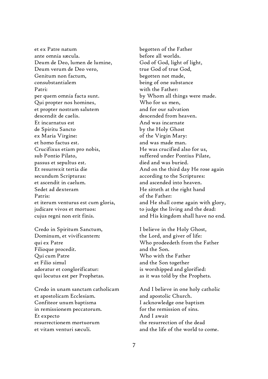et ex Patre natum ante omnia sæcula. Deum de Deo, lumen de lumine, Deum verum de Deo vero, Genitum non factum, consubstantialem Patri: per quem omnia facta sunt. Qui propter nos homines, et propter nostram salutem descendit de caelis. Et incarnatus est de Spiritu Sancto ex Maria Virgine: et homo factus est. Crucifixus etiam pro nobis, sub Pontio Pilato, passus et sepultus est. Et resurrexit tertia die secundum Scripturas: et ascendit in caelum. Sedet ad dexteram Patris: et iterum venturus est cum gloria, judicare vivos et mortuos: cujus regni non erit finis.

Credo in Spiritum Sanctum, Dominum, et vivificantem: qui ex Patre Filioque procedit. Qui cum Patre et Filio simul adoratur et conglorificatur: qui locutus est per Prophetas.

Credo in unam sanctam catholicam et apostolicam Ecclesiam. Confiteor unum baptisma in remissionem peccatorum. Et expecto resurrectionem mortuorum et vitam venturi sæculi.

begotten of the Father before all worlds. God of God, light of light, true God of true God, begotten not made, being of one substance with the Father: by Whom all things were made. Who for us men, and for our salvation descended from heaven. And was incarnate by the Holy Ghost of the Virgin Mary: and was made man. He was crucified also for us, suffered under Pontius Pilate, died and was buried. And on the third day He rose again according to the Scriptures: and ascended into heaven. He sitteth at the right hand of the Father: and He shall come again with glory, to judge the living and the dead: and His kingdom shall have no end.

I believe in the Holy Ghost, the Lord, and giver of life: Who prodeedeth from the Father and the Son. Who with the Father and the Son together is worshipped and glorified: as it was told by the Prophets.

And I believe in one holy catholic and apostolic Church. I acknowledge one baptism for the remission of sins. And I await the resurrection of the dead and the life of the world to come.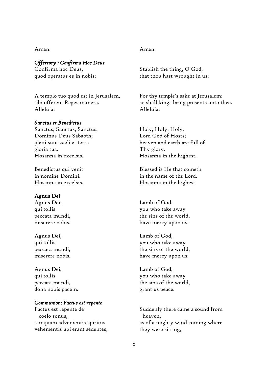Amen.

# *Offertory : Confirma Hoc Deus*

Confirma hoc Deus, quod operatus es in nobis;

A templo tuo quod est in Jerusalem, tibi offerent Reges munera. Alleluia.

#### *Sanctus et Benedictus*

Sanctus, Sanctus, Sanctus, Dominus Deus Sabaoth; pleni sunt caeli et terra gloria tua. Hosanna in excelsis.

Benedictus qui venit in nomine Domini. Hosanna in excelsis.

#### Agnus Dei

Agnus Dei, qui tollis peccata mundi, miserere nobis.

Agnus Dei, qui tollis peccata mundi, miserere nobis.

Agnus Dei, qui tollis peccata mundi, dona nobis pacem.

#### *Communion: Factus est repente*

Factus est repente de coelo sonus, tamquam advenientis spiritus vehementis ubi erant sedentes,

#### Amen.

Stablish the thing, O God, that thou hast wrought in us;

For thy temple's sake at Jerusalem: so shall kings bring presents unto thee. Alleluia.

Holy, Holy, Holy, Lord God of Hosts; heaven and earth are full of Thy glory. Hosanna in the highest.

Blessed is He that cometh in the name of the Lord. Hosanna in the highest

Lamb of God, you who take away the sins of the world, have mercy upon us.

Lamb of God, you who take away the sins of the world, have mercy upon us.

Lamb of God, you who take away the sins of the world, grant us peace.

Suddenly there came a sound from heaven, as of a mighty wind coming where they were sitting,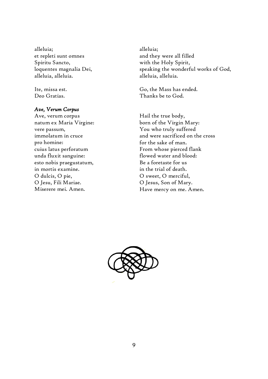alleluia; et repleti sunt omnes Spiritu Sancto, loquentes magnalia Dei, alleluia, alleluia.

Ite, missa est. Deo Gratias.

# *Ave, Verum Corpus*

Ave, verum corpus natum ex Maria Virgine: vere passum, immolatum in cruce pro homine: cuius latus perforatum unda fluxit sanguine: esto nobis praegustatum, in mortis examine. O dulcis, O pie, O Jesu, Fili Mariae. Miserere mei. Amen.

alleluia; and they were all filled with the Holy Spirit, speaking the wonderful works of God, alleluia, alleluia.

Go, the Mass has ended. Thanks be to God.

Hail the true body, born of the Virgin Mary: You who truly suffered and were sacrificed on the cross for the sake of man. From whose pierced flank flowed water and blood: Be a foretaste for us in the trial of death. O sweet, O merciful, O Jesus, Son of Mary. Have mercy on me. Amen.

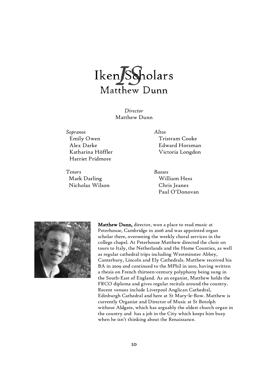

*Director* Matthew Dunn

*Sopranos Altos* Emily Owen Alex Darke Katharina Höffler Harriet Pridmore

*Tenors Basses* Mark Darling Nicholas Wilson

Tristram Cooke Edward Horsman Victoria Longdon

William Hess Chris Jeanes Paul O'Donovan



Matthew Dunn, director, won a place to read music at Peterhouse, Cambridge in 2006 and was appointed organ scholar there, overseeing the weekly choral services in the college chapel. At Peterhouse Matthew directed the choir on tours to Italy, the Netherlands and the Home Counties, as well as regular cathedral trips including Westminster Abbey, Canterbury, Lincoln and Ely Cathedrals. Matthew received his BA in 2009 and continued to the MPhil in 2010, having written a thesis on French thirteen-century polyphony being sung in the South-East of England. As an organist, Matthew holds the FRCO diploma and gives regular recitals around the country. Recent venues include Liverpool Anglican Cathedral, Edinburgh Cathedral and here at St Mary-le-Bow. Matthew is currently Organist and Director of Music at St Botolph without Aldgate, which has arguably the oldest church organ in the country and has a job in the City which keeps him busy when he isn't thinking about the Renaissance.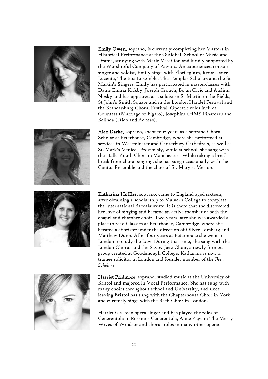

Emily Owen, soprano, is currently completing her Masters in Historical Performance at the Guildhall School of Music and Drama, studying with Marie Vassiliou and kindly supported by the Worshipful Company of Paviors. An experienced consort singer and soloist, Emily sings with Florilegium, Renaissance, Lucente, The Elia Ensemble, The Templar Scholars and the St Martin's Singers. Emily has participated in masterclasses with Dame Emma Kirkby, Joseph Crouch, Bojan Cicic and Aislinn Nosky and has appeared as a soloist in St Martin in the Fields, St John's Smith Square and in the London Handel Festival and the Brandenburg Choral Festival. Operatic roles include Countess (Marriage of Figaro), Josephine (HMS Pinafore) and Belinda (Dido and Aeneas).



Alex Darke, soprano, spent four years as a soprano Choral Scholar at Peterhouse, Cambridge, where she performed at services in Westminster and Canterbury Cathedrals, as well as St. Mark's Venice. Previously, while at school, she sang with the Halle Youth Choir in Manchester. While taking a brief break from choral singing, she has sung occasionally with the Cantus Ensemble and the choir of St. Mary's, Merton.



Katharina Höffler, soprano, came to England aged sixteen, after obtaining a scholarship to Malvern College to complete the International Baccalaureate. It is there that she discovered her love of singing and became an active member of both the chapel and chamber choir. Two years later she was awarded a place to read Classics at Peterhouse, Cambridge, where she became a chorister under the direction of Oliver Lomberg and Matthew Dunn. After four years at Peterhouse she went to London to study the Law. During that time, she sang with the London Chorus and the Savoy Jazz Choir, a newly formed group created at Goodenough College. Katharina is now a trainee solicitor in London and founder member of the *Iken Scholars*.



Harriet Pridmore, soprano,studied music at the University of Bristol and majored in Vocal Performance. She has sung with many choirs throughout school and University, and since leaving Bristol has sung with the Chapterhouse Choir in York and currently sings with the Bach Choir in London.

Harriet is a keen opera singer and has played the roles of Cenerentola in Rossini's Cenerentola, Anne Page in The Merry Wives of Windsor and chorus roles in many other operas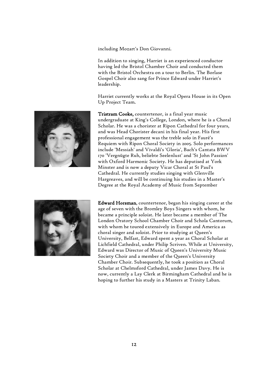including Mozart's Don Giovanni.

In addition to singing, Harriet is an experienced conductor having led the Bristol Chamber Choir and conducted them with the Bristol Orchestra on a tour to Berlin. The Borlase Gospel Choir also sang for Prince Edward under Harriet's leadership.

Harriet currently works at the Royal Opera House in its Open Up Project Team.



Tristram Cooke, countertenor, is a final year music undergraduate at King's College, London, where he is a Choral Scholar. He was a chorister at Ripon Cathedral for four years, and was Head Chorister decani in his final year. His first professional engagement was the treble solo in Fauré's Requiem with Ripon Choral Society in 2005. Solo performances include 'Messiah' and Vivaldi's 'Gloria', Bach's Cantata BWV 170 'Vergnügte Ruh, beliebte Seelenlust' and 'St John Passion' with Oxford Harmonic Society. He has deputised at York Minster and is now a deputy Vicar Choral at St Paul's Cathedral. He currently studies singing with Glenville Hargreaves, and will be continuing his studies in a Master's Degree at the Royal Academy of Music from September



Edward Horsman, countertenor, began his singing career at the age of seven with the Bromley Boys Singers with whom, he became a principle soloist. He later became a member of The London Oratory School Chamber Choir and Schola Cantorum, with whom he toured extensively in Europe and America as choral singer and soloist. Prior to studying at Queen's University, Belfast, Edward spent a year as Choral Scholar at Lichfield Cathedral, under Philip Scriven. While at University, Edward was Director of Music of Queen's University Music Society Choir and a member of the Queen's University Chamber Choir. Subsequently, he took a position as Choral Scholar at Chelmsford Cathedral, under James Davy. He is now, currently a Lay Clerk at Birmingham Cathedral and he is hoping to further his study in a Masters at Trinity Laban.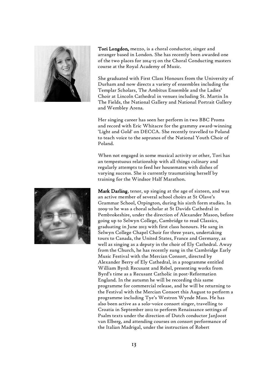

Tori Longdon,mezzo, is a choral conductor, singer and arranger based in London. She has recently been awarded one of the two places for 2014-15 on the Choral Conducting masters course at the Royal Academy of Music.

She graduated with First Class Honours from the University of Durham and now directs a variety of ensembles including the Templar Scholars, The Ambitus Ensemble and the Ladies' Choir at Lincoln Cathedral in venues including St. Martin In The Fields, the National Gallery and National Portrait Gallery and Wembley Arena.

Her singing career has seen her perform in two BBC Proms and record with Eric Whitacre for the grammy award-winning 'Light and Gold' on DECCA. She recently travelled to Poland to teach voice to the sopranos of the National Youth Choir of Poland.

When not engaged in some musical activity or other, Tori has an tempestuous relationship with all things culinary and regularly attempts to feed her housemates with dishes of varying success. She is currently traumatising herself by training for the Windsor Half Marathon.



Mark Darling, tenor, up singing at the age of sixteen, and was an active member of several school choirs at St Olave's Grammar School, Orpington, during his sixth form studies. In 2009-10 he was a choral scholar at St Davids Cathedral in Pembrokeshire, under the direction of Alexander Mason, before going up to Selwyn College, Cambridge to read Classics, graduating in June 2013 with first class honours. He sang in Selwyn College Chapel Choir for three years, undertaking tours to Canada, the United States, France and Germany, as well as singing as a deputy in the choir of Ely Cathedral. Away from the Church, he has recently sung in the Cambridge Early Music Festival with the Mercian Consort, directed by Alexander Berry of Ely Cathedral, in a programme entitled William Byrd: Recusant and Rebel, presenting works from Byrd's time as a Recusant Catholic in post-Reformation England. In the autumn he will be recording this same programme for commercial release, and he will be returning to the Festival with the Mercian Consort this August to perform a programme including Tye's Westron Wynde Mass. He has also been active as a solo-voice consort singer, travelling to Croatia in September 2012 to perform Renaissance settings of Psalm texts under the direction of Dutch conductor JanJoost van Elberg, and attending courses on consort performance of the Italian Madrigal, under the instruction of Robert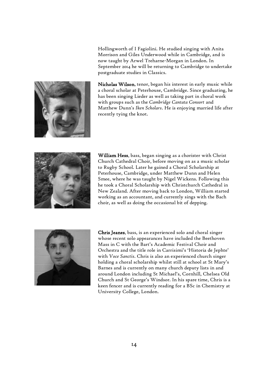Hollingworth of I Fagiolini. He studied singing with Anita Morrison and Giles Underwood while in Cambridge, and is now taught by Arwel Treharne-Morgan in London. In September 2014 he will be returning to Cambridge to undertake postgraduate studies in Classics.



Nicholas Wilson, tenor, began his interest in early music while a choral scholar at Peterhouse, Cambridge. Since graduating, he has been singing Lieder as well as taking part in choral work with groups such as the *Cambridge Cantata Consort* and Matthew Dunn's *Iken Scholars*. He is enjoying married life after recently tying the knot.



William Hess, bass, began singing as a chorister with Christ Church Cathedral Choir, before moving on as a music scholar to Rugby School. Later he gained a Choral Scholarship at Peterhouse, Cambridge, under Matthew Dunn and Helen Smee, where he was taught by Nigel Wickens. Following this he took a Choral Scholarship with Christchurch Cathedral in New Zealand. After moving back to London, William started working as an accountant, and currently sings with the Bach choir, as well as doing the occasional bit of depping.



Chris Jeanes, bass, is an experienced solo and choral singer whose recent solo appearances have included the Beethoven Mass in C with the Bart's Academic Festival Choir and Orchestra and the title role in Carrisimi's 'Historia de Jephte' with *Voce Sanctis*. Chris is also an experienced church singer holding a choral scholarship whilst still at school at St Mary's Barnes and is currently on many church deputy lists in and around London including St Michael's, Cornhill, Chelsea Old Church and St George's Windsor. In his spare time, Chris is a keen fencer and is currently reading for a BSc in Chemistry at University College, London.